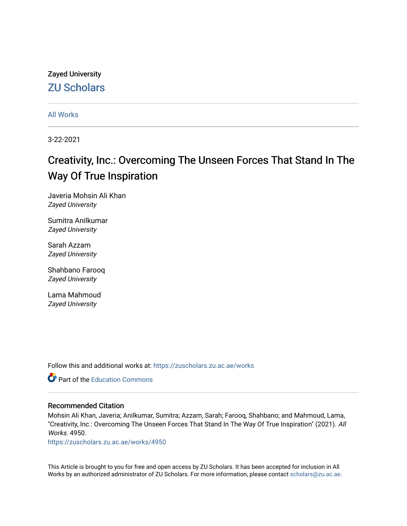# Zayed University [ZU Scholars](https://zuscholars.zu.ac.ae/)

[All Works](https://zuscholars.zu.ac.ae/works)

3-22-2021

# Creativity, Inc.: Overcoming The Unseen Forces That Stand In The Way Of True Inspiration

Javeria Mohsin Ali Khan Zayed University

Sumitra Anilkumar Zayed University

Sarah Azzam Zayed University

Shahbano Farooq Zayed University

Lama Mahmoud Zayed University

Follow this and additional works at: [https://zuscholars.zu.ac.ae/works](https://zuscholars.zu.ac.ae/works?utm_source=zuscholars.zu.ac.ae%2Fworks%2F4950&utm_medium=PDF&utm_campaign=PDFCoverPages)



# Recommended Citation

Mohsin Ali Khan, Javeria; Anilkumar, Sumitra; Azzam, Sarah; Farooq, Shahbano; and Mahmoud, Lama, "Creativity, Inc.: Overcoming The Unseen Forces That Stand In The Way Of True Inspiration" (2021). All Works. 4950.

[https://zuscholars.zu.ac.ae/works/4950](https://zuscholars.zu.ac.ae/works/4950?utm_source=zuscholars.zu.ac.ae%2Fworks%2F4950&utm_medium=PDF&utm_campaign=PDFCoverPages)

This Article is brought to you for free and open access by ZU Scholars. It has been accepted for inclusion in All Works by an authorized administrator of ZU Scholars. For more information, please contact [scholars@zu.ac.ae](mailto:scholars@zu.ac.ae).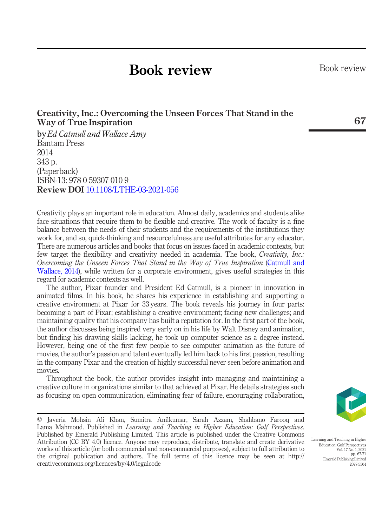# Book review

# Creativity, Inc.: Overcoming the Unseen Forces That Stand in the Way of True Inspiration

byEd Catmull and Wallace Amy Bantam Press 2014 343 p. (Paperback) ISBN-13: 978 0 59307 010 9 Review DOI [10.1108/LTHE-03-2021-056](http://dx.doi.org/10.1108/LTHE-03-2021-056)

Creativity plays an important role in education. Almost daily, academics and students alike face situations that require them to be flexible and creative. The work of faculty is a fine balance between the needs of their students and the requirements of the institutions they work for, and so, quick-thinking and resourcefulness are useful attributes for any educator. There are numerous articles and books that focus on issues faced in academic contexts, but few target the flexibility and creativity needed in academia. The book, Creativity, Inc.: Overcoming the Unseen Forces That Stand in the Way of True Inspiration ([Catmull and](#page-5-0) [Wallace, 2014](#page-5-0)), while written for a corporate environment, gives useful strategies in this regard for academic contexts as well.

The author, Pixar founder and President Ed Catmull, is a pioneer in innovation in animated films. In his book, he shares his experience in establishing and supporting a creative environment at Pixar for 33 years. The book reveals his journey in four parts: becoming a part of Pixar; establishing a creative environment; facing new challenges; and maintaining quality that his company has built a reputation for. In the first part of the book, the author discusses being inspired very early on in his life by Walt Disney and animation, but finding his drawing skills lacking, he took up computer science as a degree instead. However, being one of the first few people to see computer animation as the future of movies, the author's passion and talent eventually led him back to his first passion, resulting in the company Pixar and the creation of highly successful never seen before animation and movies.

Throughout the book, the author provides insight into managing and maintaining a creative culture in organizations similar to that achieved at Pixar. He details strategies such as focusing on open communication, eliminating fear of failure, encouraging collaboration,





Learning and Teaching in Higher Education: Gulf Perspectives Vol. 17 No. 1, 2021 pp.  $67-71$ Emerald Publishing Limited 2077-5504

Book review

67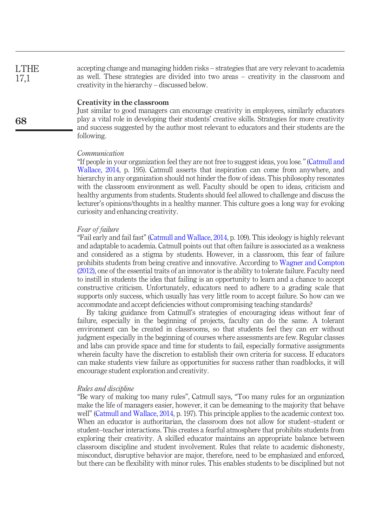accepting change and managing hidden risks – strategies that are very relevant to academia as well. These strategies are divided into two areas – creativity in the classroom and creativity in the hierarchy – discussed below. LTHE 17,1

## Creativity in the classroom

Just similar to good managers can encourage creativity in employees, similarly educators play a vital role in developing their students' creative skills. Strategies for more creativity and success suggested by the author most relevant to educators and their students are the following.

### Communication

"If people in your organization feel they are not free to suggest ideas, you lose." ([Catmull and](#page-5-0) [Wallace, 2014](#page-5-0), p. 195). Catmull asserts that inspiration can come from anywhere, and hierarchy in any organization should not hinder the flow of ideas. This philosophy resonates with the classroom environment as well. Faculty should be open to ideas, criticism and healthy arguments from students. Students should feel allowed to challenge and discuss the lecturer's opinions/thoughts in a healthy manner. This culture goes a long way for evoking curiosity and enhancing creativity.

#### Fear of failure

"Fail early and fail fast" ([Catmull and Wallace, 2014](#page-5-0), p. 109). This ideology is highly relevant and adaptable to academia. Catmull points out that often failure is associated as a weakness and considered as a stigma by students. However, in a classroom, this fear of failure prohibits students from being creative and innovative. According to [Wagner and Compton](#page-5-1) [\(2012\)](#page-5-1), one of the essential traits of an innovator is the ability to tolerate failure. Faculty need to instill in students the idea that failing is an opportunity to learn and a chance to accept constructive criticism. Unfortunately, educators need to adhere to a grading scale that supports only success, which usually has very little room to accept failure. So how can we accommodate and accept deficiencies without compromising teaching standards?

By taking guidance from Catmull's strategies of encouraging ideas without fear of failure, especially in the beginning of projects, faculty can do the same. A tolerant environment can be created in classrooms, so that students feel they can err without judgment especially in the beginning of courses where assessments are few. Regular classes and labs can provide space and time for students to fail, especially formative assignments wherein faculty have the discretion to establish their own criteria for success. If educators can make students view failure as opportunities for success rather than roadblocks, it will encourage student exploration and creativity.

#### Rules and discipline

"Be wary of making too many rules", Catmull says, "Too many rules for an organization make the life of managers easier, however, it can be demeaning to the majority that behave well" ([Catmull and Wallace, 2014,](#page-5-0) p. 197). This principle applies to the academic context too. When an educator is authoritarian, the classroom does not allow for student–student or student–teacher interactions. This creates a fearful atmosphere that prohibits students from exploring their creativity. A skilled educator maintains an appropriate balance between classroom discipline and student involvement. Rules that relate to academic dishonesty, misconduct, disruptive behavior are major, therefore, need to be emphasized and enforced, but there can be flexibility with minor rules. This enables students to be disciplined but not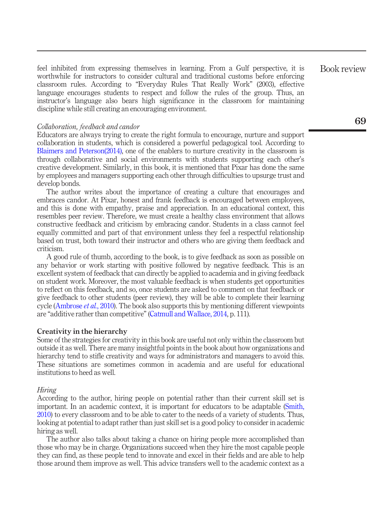feel inhibited from expressing themselves in learning. From a Gulf perspective, it is worthwhile for instructors to consider cultural and traditional customs before enforcing classroom rules. According to "Everyday Rules That Really Work" (2003), effective language encourages students to respect and follow the rules of the group. Thus, an instructor's language also bears high significance in the classroom for maintaining discipline while still creating an encouraging environment.

#### Collaboration, feedback and candor

Educators are always trying to create the right formula to encourage, nurture and support collaboration in students, which is considered a powerful pedagogical tool. According to [Blaimers and Peterson\(2014\)](#page-5-2), one of the enablers to nurture creativity in the classroom is through collaborative and social environments with students supporting each other's creative development. Similarly, in this book, it is mentioned that Pixar has done the same by employees and managers supporting each other through difficulties to upsurge trust and develop bonds.

The author writes about the importance of creating a culture that encourages and embraces candor. At Pixar, honest and frank feedback is encouraged between employees, and this is done with empathy, praise and appreciation. In an educational context, this resembles peer review. Therefore, we must create a healthy class environment that allows constructive feedback and criticism by embracing candor. Students in a class cannot feel equally committed and part of that environment unless they feel a respectful relationship based on trust, both toward their instructor and others who are giving them feedback and criticism.

A good rule of thumb, according to the book, is to give feedback as soon as possible on any behavior or work starting with positive followed by negative feedback. This is an excellent system of feedback that can directly be applied to academia and in giving feedback on student work. Moreover, the most valuable feedback is when students get opportunities to reflect on this feedback, and so, once students are asked to comment on that feedback or give feedback to other students (peer review), they will be able to complete their learning cycle [\(Ambrose](#page-5-3) *et al.*, 2010). The book also supports this by mentioning different viewpoints are "additive rather than competitive" ([Catmull and Wallace, 2014](#page-5-0), p. 111).

#### Creativity in the hierarchy

Some of the strategies for creativity in this book are useful not only within the classroom but outside it as well. There are many insightful points in the book about how organizations and hierarchy tend to stifle creativity and ways for administrators and managers to avoid this. These situations are sometimes common in academia and are useful for educational institutions to heed as well.

#### Hiring

According to the author, hiring people on potential rather than their current skill set is important. In an academic context, it is important for educators to be adaptable ([Smith,](#page-5-4) [2010\)](#page-5-4) to every classroom and to be able to cater to the needs of a variety of students. Thus, looking at potential to adapt rather than just skill set is a good policy to consider in academic hiring as well.

The author also talks about taking a chance on hiring people more accomplished than those who may be in charge. Organizations succeed when they hire the most capable people they can find, as these people tend to innovate and excel in their fields and are able to help those around them improve as well. This advice transfers well to the academic context as a Book review

69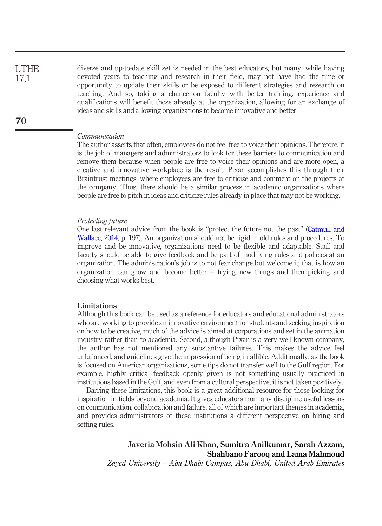diverse and up-to-date skill set is needed in the best educators, but many, while having devoted years to teaching and research in their field, may not have had the time or opportunity to update their skills or be exposed to different strategies and research on teaching. And so, taking a chance on faculty with better training, experience and qualifications will benefit those already at the organization, allowing for an exchange of ideas and skills and allowing organizations to become innovative and better.

#### Communication

The author asserts that often, employees do not feel free to voice their opinions. Therefore, it is the job of managers and administrators to look for these barriers to communication and remove them because when people are free to voice their opinions and are more open, a creative and innovative workplace is the result. Pixar accomplishes this through their Braintrust meetings, where employees are free to criticize and comment on the projects at the company. Thus, there should be a similar process in academic organizations where people are free to pitch in ideas and criticize rules already in place that may not be working.

### Protecting future

One last relevant advice from the book is "protect the future not the past" [\(Catmull and](#page-5-0) [Wallace, 2014](#page-5-0), p. 197). An organization should not be rigid in old rules and procedures. To improve and be innovative, organizations need to be flexible and adaptable. Staff and faculty should be able to give feedback and be part of modifying rules and policies at an organization. The administration's job is to not fear change but welcome it; that is how an organization can grow and become better – trying new things and then picking and choosing what works best.

### Limitations

Although this book can be used as a reference for educators and educational administrators who are working to provide an innovative environment for students and seeking inspiration on how to be creative, much of the advice is aimed at corporations and set in the animation industry rather than to academia. Second, although Pixar is a very well-known company, the author has not mentioned any substantive failures. This makes the advice feel unbalanced, and guidelines give the impression of being infallible. Additionally, as the book is focused on American organizations, some tips do not transfer well to the Gulf region. For example, highly critical feedback openly given is not something usually practiced in institutions based in the Gulf, and even from a cultural perspective, it is not taken positively.

Barring these limitations, this book is a great additional resource for those looking for inspiration in fields beyond academia. It gives educators from any discipline useful lessons on communication, collaboration and failure, all of which are important themes in academia, and provides administrators of these institutions a different perspective on hiring and setting rules.

# Javeria Mohsin Ali Khan, Sumitra Anilkumar, Sarah Azzam, Shahbano Farooq and Lama Mahmoud

Zayed University – Abu Dhabi Campus, Abu Dhabi, United Arab Emirates

LTHE 17,1